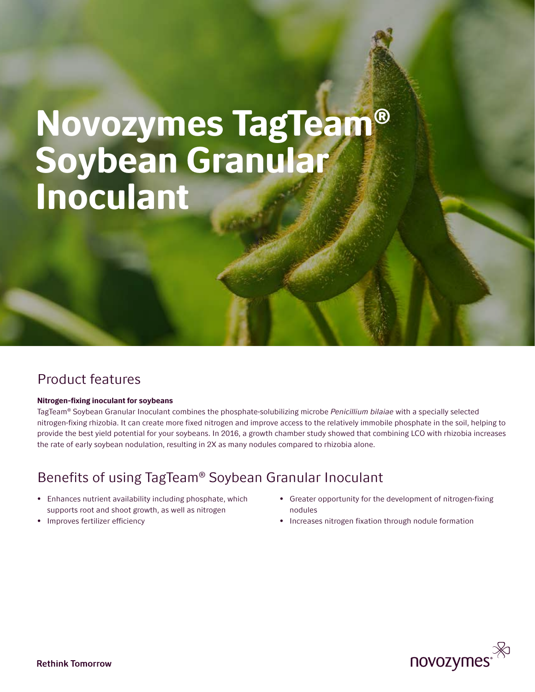# Novozymes TagTeam® Soybean Granular Inoculant

## Product features

#### Nitrogen-fixing inoculant for soybeans

TagTeam® Soybean Granular Inoculant combines the phosphate-solubilizing microbe *Penicillium bilaiae* with a specially selected nitrogen-fixing rhizobia. It can create more fixed nitrogen and improve access to the relatively immobile phosphate in the soil, helping to provide the best yield potential for your soybeans. In 2016, a growth chamber study showed that combining LCO with rhizobia increases the rate of early soybean nodulation, resulting in 2X as many nodules compared to rhizobia alone.

# Benefits of using TagTeam® Soybean Granular Inoculant

- Enhances nutrient availability including phosphate, which supports root and shoot growth, as well as nitrogen
- Improves fertilizer efficiency
- Greater opportunity for the development of nitrogen-fixing nodules
- Increases nitrogen fixation through nodule formation